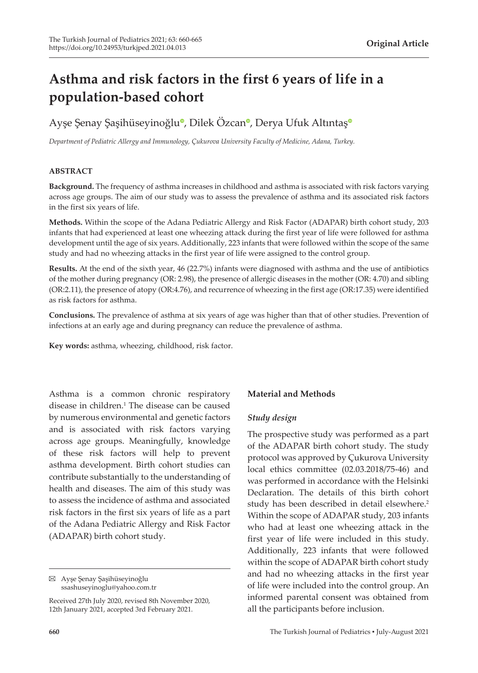# **Asthma and risk factors in the first 6 years of life in a population-based cohort**

# Ayşe Şenay Şaşihüseyinoğl[u](https://orcid.org/0000-0003-4085-0256)<sup>o</sup>[,](https://orcid.org/0000-0003-3972-7277) Dilek Özcan<sup>o</sup>, Derya Ufuk Altınta[ş](https://orcid.org/0000-0003-2090-5248)<sup>o</sup>

*Department of Pediatric Allergy and Immunology, Çukurova University Faculty of Medicine, Adana, Turkey.*

#### **ABSTRACT**

**Background.** The frequency of asthma increases in childhood and asthma is associated with risk factors varying across age groups. The aim of our study was to assess the prevalence of asthma and its associated risk factors in the first six years of life.

**Methods.** Within the scope of the Adana Pediatric Allergy and Risk Factor (ADAPAR) birth cohort study, 203 infants that had experienced at least one wheezing attack during the first year of life were followed for asthma development until the age of six years. Additionally, 223 infants that were followed within the scope of the same study and had no wheezing attacks in the first year of life were assigned to the control group.

**Results.** At the end of the sixth year, 46 (22.7%) infants were diagnosed with asthma and the use of antibiotics of the mother during pregnancy (OR: 2.98), the presence of allergic diseases in the mother (OR: 4.70) and sibling (OR:2.11), the presence of atopy (OR:4.76), and recurrence of wheezing in the first age (OR:17.35) were identified as risk factors for asthma.

**Conclusions.** The prevalence of asthma at six years of age was higher than that of other studies. Prevention of infections at an early age and during pregnancy can reduce the prevalence of asthma.

**Key words:** asthma, wheezing, childhood, risk factor.

Asthma is a common chronic respiratory disease in children.<sup>1</sup> The disease can be caused by numerous environmental and genetic factors and is associated with risk factors varying across age groups. Meaningfully, knowledge of these risk factors will help to prevent asthma development. Birth cohort studies can contribute substantially to the understanding of health and diseases. The aim of this study was to assess the incidence of asthma and associated risk factors in the first six years of life as a part of the Adana Pediatric Allergy and Risk Factor (ADAPAR) birth cohort study.

Ayşe Şenay Şaşihüseyinoğlu ssashuseyinoglu@yahoo.com.tr

#### **Material and Methods**

#### *Study design*

The prospective study was performed as a part of the ADAPAR birth cohort study. The study protocol was approved by Çukurova University local ethics committee (02.03.2018/75-46) and was performed in accordance with the Helsinki Declaration. The details of this birth cohort study has been described in detail elsewhere.<sup>2</sup> Within the scope of ADAPAR study, 203 infants who had at least one wheezing attack in the first year of life were included in this study. Additionally, 223 infants that were followed within the scope of ADAPAR birth cohort study and had no wheezing attacks in the first year of life were included into the control group. An informed parental consent was obtained from all the participants before inclusion.

Received 27th July 2020, revised 8th November 2020, 12th January 2021, accepted 3rd February 2021.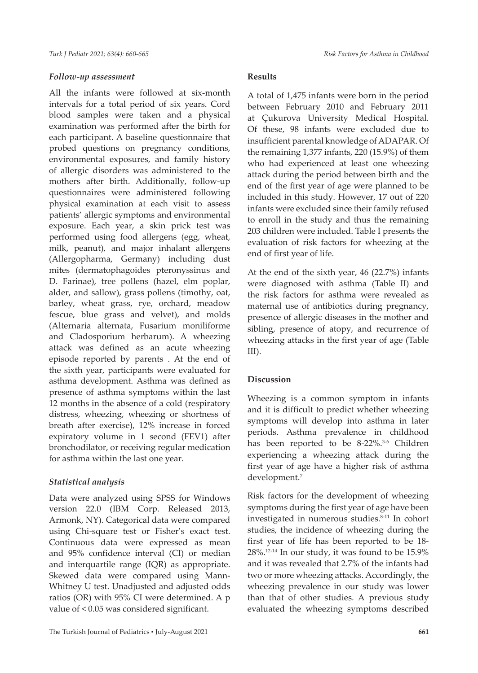#### *Follow-up assessment*

All the infants were followed at six-month intervals for a total period of six years. Cord blood samples were taken and a physical examination was performed after the birth for each participant. A baseline questionnaire that probed questions on pregnancy conditions, environmental exposures, and family history of allergic disorders was administered to the mothers after birth. Additionally, follow-up questionnaires were administered following physical examination at each visit to assess patients' allergic symptoms and environmental exposure. Each year, a skin prick test was performed using food allergens (egg, wheat, milk, peanut), and major inhalant allergens (Allergopharma, Germany) including dust mites (dermatophagoides pteronyssinus and D. Farinae), tree pollens (hazel, elm poplar, alder, and sallow), grass pollens (timothy, oat, barley, wheat grass, rye, orchard, meadow fescue, blue grass and velvet), and molds (Alternaria alternata, Fusarium moniliforme and Cladosporium herbarum). A wheezing attack was defined as an acute wheezing episode reported by parents . At the end of the sixth year, participants were evaluated for asthma development. Asthma was defined as presence of asthma symptoms within the last 12 months in the absence of a cold (respiratory distress, wheezing, wheezing or shortness of breath after exercise), 12% increase in forced expiratory volume in 1 second (FEV1) after bronchodilator, or receiving regular medication for asthma within the last one year.

#### *Statistical analysis*

Data were analyzed using SPSS for Windows version 22.0 (IBM Corp. Released 2013, Armonk, NY). Categorical data were compared using Chi-square test or Fisher's exact test. Continuous data were expressed as mean and 95% confidence interval (CI) or median and interquartile range (IQR) as appropriate. Skewed data were compared using Mann-Whitney U test. Unadjusted and adjusted odds ratios (OR) with 95% CI were determined. A p value of < 0.05 was considered significant.

#### **Results**

A total of 1,475 infants were born in the period between February 2010 and February 2011 at Çukurova University Medical Hospital. Of these, 98 infants were excluded due to insufficient parental knowledge of ADAPAR. Of the remaining 1,377 infants, 220 (15.9%) of them who had experienced at least one wheezing attack during the period between birth and the end of the first year of age were planned to be included in this study. However, 17 out of 220 infants were excluded since their family refused to enroll in the study and thus the remaining 203 children were included. Table I presents the evaluation of risk factors for wheezing at the end of first year of life.

At the end of the sixth year, 46 (22.7%) infants were diagnosed with asthma (Table II) and the risk factors for asthma were revealed as maternal use of antibiotics during pregnancy, presence of allergic diseases in the mother and sibling, presence of atopy, and recurrence of wheezing attacks in the first year of age (Table III).

#### **Discussion**

Wheezing is a common symptom in infants and it is difficult to predict whether wheezing symptoms will develop into asthma in later periods. Asthma prevalence in childhood has been reported to be 8-22%.<sup>3-6</sup> Children experiencing a wheezing attack during the first year of age have a higher risk of asthma development.7

Risk factors for the development of wheezing symptoms during the first year of age have been investigated in numerous studies.<sup>8-11</sup> In cohort studies, the incidence of wheezing during the first year of life has been reported to be 18-  $28\%$ .<sup>12-14</sup> In our study, it was found to be  $15.9\%$ and it was revealed that 2.7% of the infants had two or more wheezing attacks. Accordingly, the wheezing prevalence in our study was lower than that of other studies. A previous study evaluated the wheezing symptoms described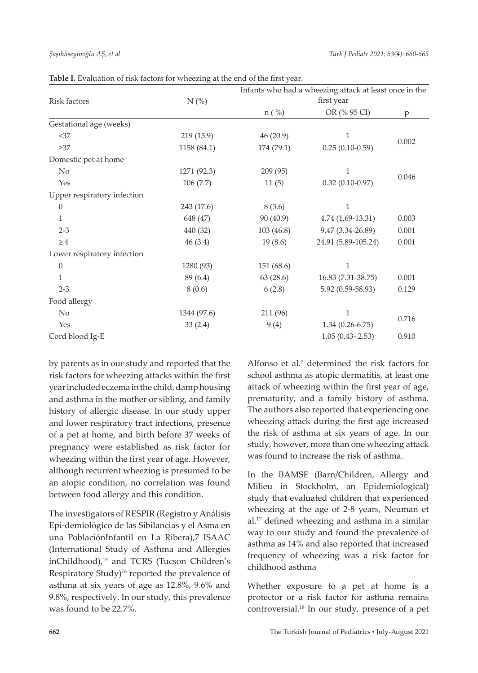| Risk factors                | N(%)        | Infants who had a wheezing attack at least once in the<br>first year |                     |       |  |
|-----------------------------|-------------|----------------------------------------------------------------------|---------------------|-------|--|
|                             |             | n (%)                                                                | OR (% 95 CI)        | p     |  |
| Gestational age (weeks)     |             |                                                                      |                     |       |  |
| <37                         | 219 (15.9)  | 46(20.9)                                                             | 1                   | 0.002 |  |
| $\geq$ 37                   | 1158 (84.1) | 174 (79.1)                                                           | $0.25(0.10-0.59)$   |       |  |
| Domestic pet at home        |             |                                                                      |                     |       |  |
| N <sub>0</sub>              | 1271 (92.3) | 209(95)                                                              | 1                   |       |  |
| Yes                         | 106(7.7)    | 11(5)                                                                | $0.32(0.10-0.97)$   | 0.046 |  |
| Upper respiratory infection |             |                                                                      |                     |       |  |
| $\theta$                    | 243 (17.6)  | 8(3.6)                                                               | $\mathbf{1}$        |       |  |
| $\mathbf{1}$                | 648 (47)    | 90 (40.9)                                                            | 4.74 (1.69-13.31)   | 0.003 |  |
| $2 - 3$                     | 440 (32)    | 103(46.8)                                                            | 9.47 (3.34-26.89)   | 0.001 |  |
| $\geq 4$                    | 46(3.4)     | 19(8.6)                                                              | 24.91 (5.89-105.24) | 0.001 |  |
| Lower respiratory infection |             |                                                                      |                     |       |  |
| $\theta$                    | 1280 (93)   | 151 (68.6)                                                           | 1                   |       |  |
| $\mathbf{1}$                | 89 (6.4)    | 63(28.6)                                                             | 16.83 (7.31-38.75)  | 0.001 |  |
| $2 - 3$                     | 8(0.6)      | 6(2.8)                                                               | 5.92 (0.59-58.93)   | 0.129 |  |
| Food allergy                |             |                                                                      |                     |       |  |
| No                          | 1344 (97.6) | 211 (96)                                                             | 1                   |       |  |
| Yes                         | 33(2.4)     | 9(4)                                                                 | $1.34(0.26-6.75)$   | 0.716 |  |
| Cord blood Ig-E             |             |                                                                      | $1.05(0.43 - 2.53)$ | 0.910 |  |

Table I. Evaluation of risk factors for wheezing at the end of the first year.

by parents as in our study and reported that the risk factors for wheezing attacks within the first year included eczema in the child, damp housing and asthma in the mother or sibling, and family history of allergic disease. In our study upper and lower respiratory tract infections, presence of a pet at home, and birth before 37 weeks of pregnancy were established as risk factor for wheezing within the first year of age. However, although recurrent wheezing is presumed to be an atopic condition, no correlation was found between food allergy and this condition.

The investigators of RESPIR (Registro y Análisis Epi-demiológico de las Sibilancias y el Asma en una PoblaciónInfantil en La Ribera),7 ISAAC (International Study of Asthma and Allergies inChildhood),<sup>15</sup> and TCRS (Tucson Children's Respiratory Study)<sup>16</sup> reported the prevalence of asthma at six years of age as 12.8%, 9.6% and 9.8%, respectively. In our study, this prevalence was found to be 22.7%.

Alfonso et al.<sup>7</sup> determined the risk factors for school asthma as atopic dermatitis, at least one attack of wheezing within the first year of age, prematurity, and a family history of asthma. The authors also reported that experiencing one wheezing attack during the first age increased the risk of asthma at six years of age. In our study, however, more than one wheezing attack was found to increase the risk of asthma.

In the BAMSE (Barn/Children, Allergy and Milieu in Stockholm, an Epidemiological) study that evaluated children that experienced wheezing at the age of 2-8 years, Neuman et al.17 defined wheezing and asthma in a similar way to our study and found the prevalence of asthma as 14% and also reported that increased frequency of wheezing was a risk factor for childhood asthma

Whether exposure to a pet at home is a protector or a risk factor for asthma remains controversial.18 In our study, presence of a pet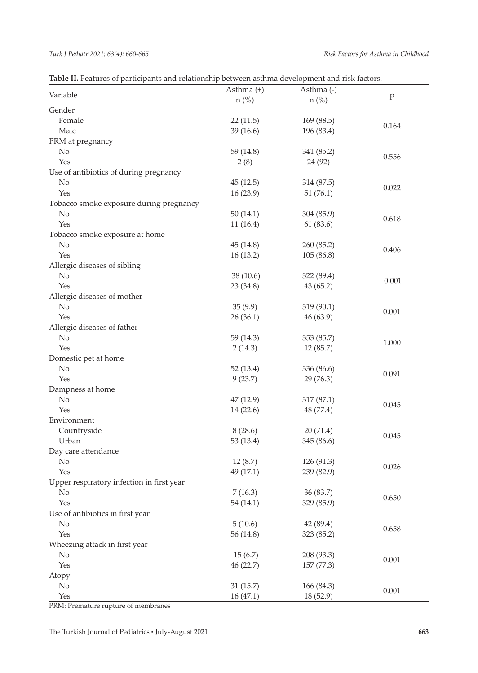| Variable                                  | Asthma $(+)$ |            |       |  |
|-------------------------------------------|--------------|------------|-------|--|
|                                           | $n$ (%)      | $n$ (%)    | p     |  |
| Gender                                    |              |            |       |  |
| Female                                    | 22(11.5)     | 169 (88.5) | 0.164 |  |
| Male                                      | 39(16.6)     | 196 (83.4) |       |  |
| PRM at pregnancy                          |              |            |       |  |
| N <sub>o</sub>                            | 59 (14.8)    | 341 (85.2) | 0.556 |  |
| Yes                                       | 2(8)         | 24 (92)    |       |  |
| Use of antibiotics of during pregnancy    |              |            |       |  |
| N <sub>o</sub>                            | 45(12.5)     | 314 (87.5) | 0.022 |  |
| Yes                                       | 16(23.9)     | 51(76.1)   |       |  |
| Tobacco smoke exposure during pregnancy   |              |            |       |  |
| No                                        | 50(14.1)     | 304 (85.9) | 0.618 |  |
| Yes                                       | 11(16.4)     | 61(83.6)   |       |  |
| Tobacco smoke exposure at home            |              |            |       |  |
| No                                        | 45(14.8)     | 260 (85.2) | 0.406 |  |
| Yes                                       | 16(13.2)     | 105 (86.8) |       |  |
| Allergic diseases of sibling              |              |            |       |  |
| No                                        | 38(10.6)     | 322 (89.4) | 0.001 |  |
| Yes                                       | 23 (34.8)    | 43(65.2)   |       |  |
| Allergic diseases of mother               |              |            |       |  |
| No                                        | 35(9.9)      | 319 (90.1) | 0.001 |  |
| Yes                                       | 26(36.1)     | 46 (63.9)  |       |  |
| Allergic diseases of father               |              |            |       |  |
| No                                        | 59(14.3)     | 353 (85.7) |       |  |
| Yes                                       | 2(14.3)      | 12(85.7)   | 1.000 |  |
| Domestic pet at home                      |              |            |       |  |
| $\rm No$                                  | 52(13.4)     | 336 (86.6) |       |  |
| Yes                                       | 9(23.7)      | 29 (76.3)  | 0.091 |  |
| Dampness at home                          |              |            |       |  |
| No                                        | 47(12.9)     | 317 (87.1) |       |  |
| Yes                                       | 14(22.6)     | 48 (77.4)  | 0.045 |  |
| Environment                               |              |            |       |  |
| Countryside                               | 8(28.6)      | 20(71.4)   |       |  |
| Urban                                     | 53 (13.4)    | 345 (86.6) | 0.045 |  |
| Day care attendance                       |              |            |       |  |
| No                                        | 12(8.7)      | 126 (91.3) |       |  |
| Yes                                       | 49 (17.1)    | 239 (82.9) | 0.026 |  |
| Upper respiratory infection in first year |              |            |       |  |
| No                                        | 7(16.3)      | 36 (83.7)  |       |  |
| Yes                                       | 54 (14.1)    | 329 (85.9) | 0.650 |  |
| Use of antibiotics in first year          |              |            |       |  |
| $\rm No$                                  | 5(10.6)      | 42 (89.4)  |       |  |
| Yes                                       | 56 (14.8)    | 323 (85.2) | 0.658 |  |
| Wheezing attack in first year             |              |            |       |  |
| $\rm No$                                  | 15(6.7)      | 208 (93.3) | 0.001 |  |
| Yes                                       | 46 (22.7)    | 157 (77.3) |       |  |
| Atopy                                     |              |            |       |  |
| $\rm No$                                  | 31(15.7)     | 166 (84.3) |       |  |
| Yes                                       | 16(47.1)     | 18 (52.9)  | 0.001 |  |

PRM: Premature rupture of membranes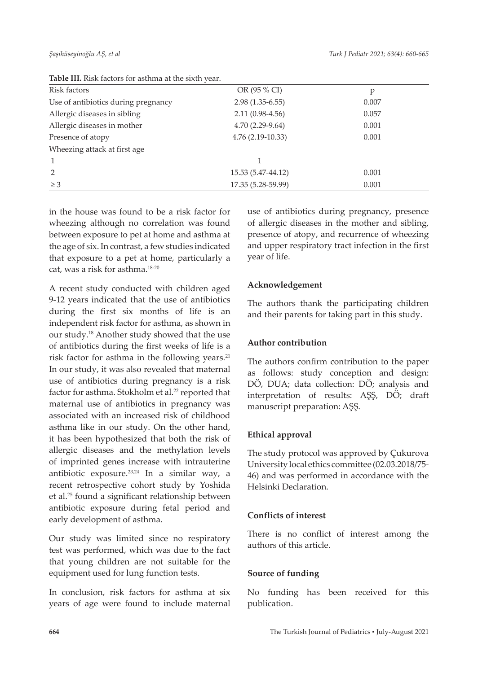| Risk factors                        | OR (95 % CI)       | p     |
|-------------------------------------|--------------------|-------|
| Use of antibiotics during pregnancy | $2.98(1.35-6.55)$  | 0.007 |
| Allergic diseases in sibling        | $2.11(0.98-4.56)$  | 0.057 |
| Allergic diseases in mother         | 4.70 (2.29-9.64)   | 0.001 |
| Presence of atopy                   | $4.76(2.19-10.33)$ | 0.001 |
| Wheezing attack at first age        |                    |       |
|                                     |                    |       |
| $\mathcal{P}$                       | 15.53 (5.47-44.12) | 0.001 |
| $\geq$ 3                            | 17.35 (5.28-59.99) | 0.001 |
|                                     |                    |       |

**Table III.** Risk factors for asthma at the sixth year.

in the house was found to be a risk factor for wheezing although no correlation was found between exposure to pet at home and asthma at the age of six. In contrast, a few studies indicated that exposure to a pet at home, particularly a cat, was a risk for asthma.18-20

A recent study conducted with children aged 9-12 years indicated that the use of antibiotics during the first six months of life is an independent risk factor for asthma, as shown in our study.18 Another study showed that the use of antibiotics during the first weeks of life is a risk factor for asthma in the following years. $21$ In our study, it was also revealed that maternal use of antibiotics during pregnancy is a risk factor for asthma. Stokholm et al.<sup>22</sup> reported that maternal use of antibiotics in pregnancy was associated with an increased risk of childhood asthma like in our study. On the other hand, it has been hypothesized that both the risk of allergic diseases and the methylation levels of imprinted genes increase with intrauterine antibiotic exposure.23,24 In a similar way, a recent retrospective cohort study by Yoshida et al.25 found a significant relationship between antibiotic exposure during fetal period and early development of asthma.

Our study was limited since no respiratory test was performed, which was due to the fact that young children are not suitable for the equipment used for lung function tests.

In conclusion, risk factors for asthma at six years of age were found to include maternal

use of antibiotics during pregnancy, presence of allergic diseases in the mother and sibling, presence of atopy, and recurrence of wheezing and upper respiratory tract infection in the first year of life.

# **Acknowledgement**

The authors thank the participating children and their parents for taking part in this study.

# **Author contribution**

The authors confirm contribution to the paper as follows: study conception and design: DÖ, DUA; data collection: DÖ; analysis and interpretation of results: AŞŞ, DÖ; draft manuscript preparation: AŞŞ.

# **Ethical approval**

The study protocol was approved by Çukurova University local ethics committee (02.03.2018/75- 46) and was performed in accordance with the Helsinki Declaration.

# **Conflicts of interest**

There is no conflict of interest among the authors of this article.

#### **Source of funding**

No funding has been received for this publication.